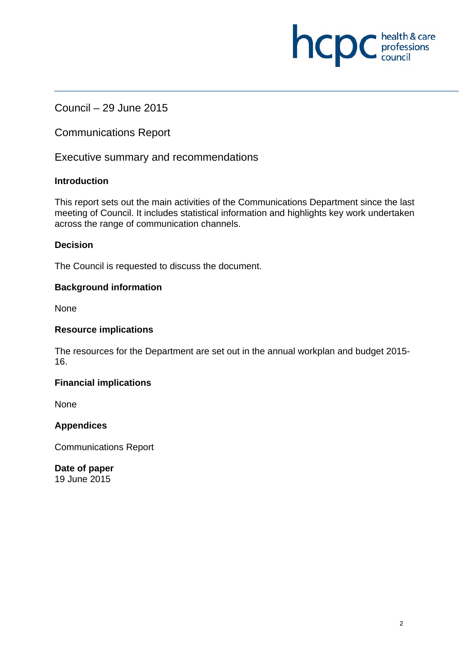# Council – 29 June 2015

Communications Report

Executive summary and recommendations

## **Introduction**

This report sets out the main activities of the Communications Department since the last meeting of Council. It includes statistical information and highlights key work undertaken across the range of communication channels.

## **Decision**

The Council is requested to discuss the document.

## **Background information**

None

#### **Resource implications**

The resources for the Department are set out in the annual workplan and budget 2015- 16.

#### **Financial implications**

**None** 

## **Appendices**

Communications Report

**Date of paper**  19 June 2015

**NCDC** health & care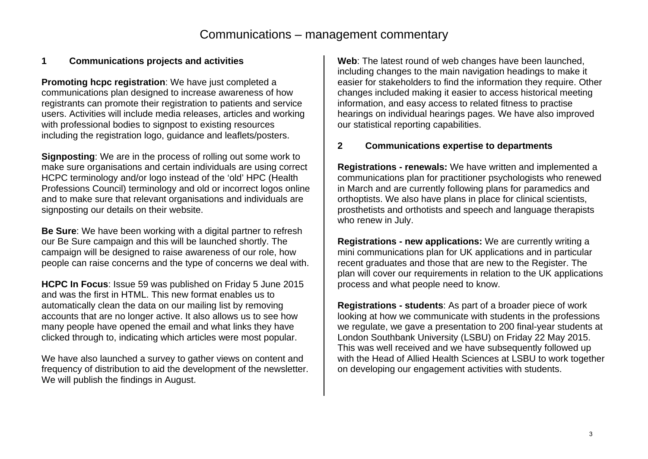#### **1 Communications projects and activities**

**Promoting hcpc registration**: We have just completed a communications plan designed to increase awareness of how registrants can promote their registration to patients and service users. Activities will include media releases, articles and working with professional bodies to signpost to existing resources including the registration logo, guidance and leaflets/posters.

**Signposting**: We are in the process of rolling out some work to make sure organisations and certain individuals are using correct HCPC terminology and/or logo instead of the 'old' HPC (Health Professions Council) terminology and old or incorrect logos online and to make sure that relevant organisations and individuals are signposting our details on their website.

**Be Sure**: We have been working with a digital partner to refresh our Be Sure campaign and this will be launched shortly. The campaign will be designed to raise awareness of our role, how people can raise concerns and the type of concerns we deal with.

**HCPC In Focus**: Issue 59 was published on Friday 5 June 2015 and was the first in HTML. This new format enables us to automatically clean the data on our mailing list by removing accounts that are no longer active. It also allows us to see how many people have opened the email and what links they have clicked through to, indicating which articles were most popular.

We have also launched a survey to gather views on content and frequency of distribution to aid the development of the newsletter. We will publish the findings in August.

**Web**: The latest round of web changes have been launched, including changes to the main navigation headings to make it easier for stakeholders to find the information they require. Other changes included making it easier to access historical meeting information, and easy access to related fitness to practise hearings on individual hearings pages. We have also improved our statistical reporting capabilities.

#### **2 Communications expertise to departments**

**Registrations - renewals:** We have written and implemented a communications plan for practitioner psychologists who renewed in March and are currently following plans for paramedics and orthoptists. We also have plans in place for clinical scientists, prosthetists and orthotists and speech and language therapists who renew in July.

**Registrations - new applications:** We are currently writing a mini communications plan for UK applications and in particular recent graduates and those that are new to the Register. The plan will cover our requirements in relation to the UK applications process and what people need to know.

**Registrations - students**: As part of a broader piece of work looking at how we communicate with students in the professions we regulate, we gave a presentation to 200 final-year students at London Southbank University (LSBU) on Friday 22 May 2015. This was well received and we have subsequently followed up with the Head of Allied Health Sciences at LSBU to work together on developing our engagement activities with students.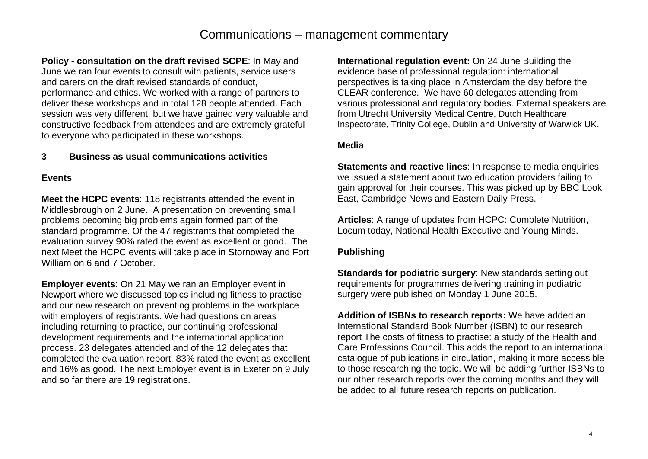**Policy - consultation on the draft revised SCPE**: In May and June we ran four events to consult with patients, service users and carers on the draft revised standards of conduct, performance and ethics. We worked with a range of partners to deliver these workshops and in total 128 people attended. Each session was very different, but we have gained very valuable and constructive feedback from attendees and are extremely grateful to everyone who participated in these workshops.

#### **3 Business as usual communications activities**

#### **Events**

**Meet the HCPC events**: 118 registrants attended the event in Middlesbrough on 2 June. A presentation on preventing small problems becoming big problems again formed part of the standard programme. Of the 47 registrants that completed the evaluation survey 90% rated the event as excellent or good. The next Meet the HCPC events will take place in Stornoway and Fort William on 6 and 7 October.

**Employer events**: On 21 May we ran an Employer event in Newport where we discussed topics including fitness to practise and our new research on preventing problems in the workplace with employers of registrants. We had questions on areas including returning to practice, our continuing professional development requirements and the international application process. 23 delegates attended and of the 12 delegates that completed the evaluation report, 83% rated the event as excellent and 16% as good. The next Employer event is in Exeter on 9 July and so far there are 19 registrations.

**International regulation event:** On 24 June Building the evidence base of professional regulation: international perspectives is taking place in Amsterdam the day before the CLEAR conference. We have 60 delegates attending from various professional and regulatory bodies. External speakers are from Utrecht University Medical Centre, Dutch Healthcare Inspectorate, Trinity College, Dublin and University of Warwick UK.

#### **Media**

**Statements and reactive lines:** In response to media enquiries we issued a statement about two education providers failing to gain approval for their courses. This was picked up by BBC Look East, Cambridge News and Eastern Daily Press.

**Articles**: A range of updates from HCPC: Complete Nutrition, Locum today, National Health Executive and Young Minds.

#### **Publishing**

**Standards for podiatric surgery:** New standards setting out requirements for programmes delivering training in podiatric surgery were published on Monday 1 June 2015.

**Addition of ISBNs to research reports:** We have added an International Standard Book Number (ISBN) to our research report The costs of fitness to practise: a study of the Health and Care Professions Council. This adds the report to an international catalogue of publications in circulation, making it more accessible to those researching the topic. We will be adding further ISBNs to our other research reports over the coming months and they will be added to all future research reports on publication.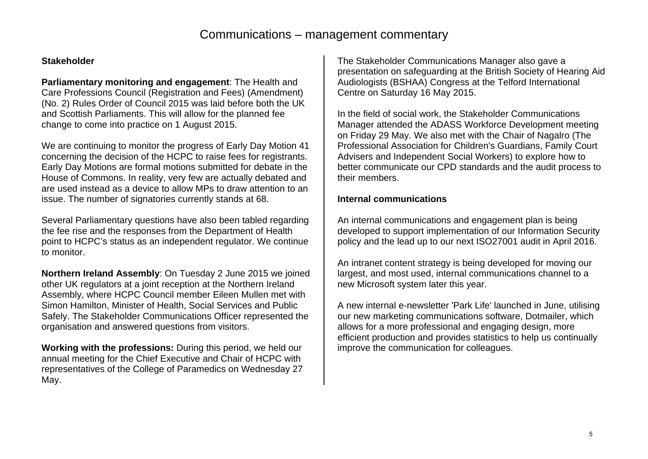#### **Stakeholder**

**Parliamentary monitoring and engagement**: The Health and Care Professions Council (Registration and Fees) (Amendment) (No. 2) Rules Order of Council 2015 was laid before both the UK and Scottish Parliaments. This will allow for the planned fee change to come into practice on 1 August 2015.

We are continuing to monitor the progress of Early Day Motion 41 concerning the decision of the HCPC to raise fees for registrants. Early Day Motions are formal motions submitted for debate in the House of Commons. In reality, very few are actually debated and are used instead as a device to allow MPs to draw attention to an issue. The number of signatories currently stands at 68.

Several Parliamentary questions have also been tabled regarding the fee rise and the responses from the Department of Health point to HCPC's status as an independent regulator. We continue to monitor.

**Northern Ireland Assembly**: On Tuesday 2 June 2015 we joined other UK regulators at a joint reception at the Northern Ireland Assembly, where HCPC Council member Eileen Mullen met with Simon Hamilton, Minister of Health, Social Services and Public Safely. The Stakeholder Communications Officer represented the organisation and answered questions from visitors.

**Working with the professions:** During this period, we held our annual meeting for the Chief Executive and Chair of HCPC with representatives of the College of Paramedics on Wednesday 27 May.

The Stakeholder Communications Manager also gave a presentation on safeguarding at the British Society of Hearing Aid Audiologists (BSHAA) Congress at the Telford International Centre on Saturday 16 May 2015.

In the field of social work, the Stakeholder Communications Manager attended the ADASS Workforce Development meeting on Friday 29 May. We also met with the Chair of Nagalro (The Professional Association for Children's Guardians, Family Court Advisers and Independent Social Workers) to explore how to better communicate our CPD standards and the audit process to their members.

#### **Internal communications**

An internal communications and engagement plan is being developed to support implementation of our Information Security policy and the lead up to our next ISO27001 audit in April 2016.

An intranet content strategy is being developed for moving our largest, and most used, internal communications channel to a new Microsoft system later this year.

A new internal e-newsletter 'Park Life' launched in June, utilising our new marketing communications software, Dotmailer, which allows for a more professional and engaging design, more efficient production and provides statistics to help us continually improve the communication for colleagues.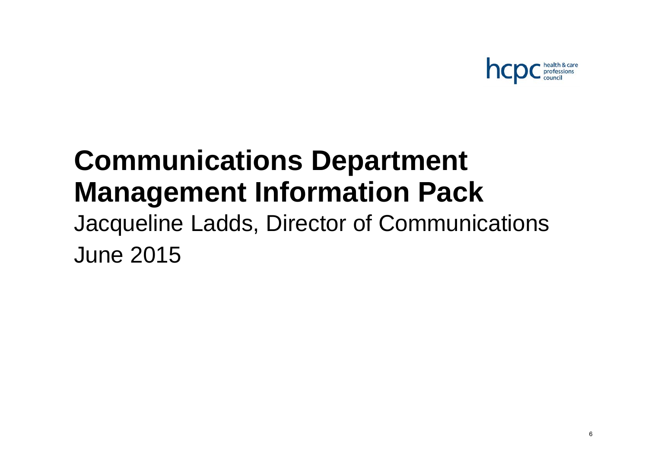

# **Communications Department Management Information Pack**

Jacqueline Ladds, Director of Communications June 2015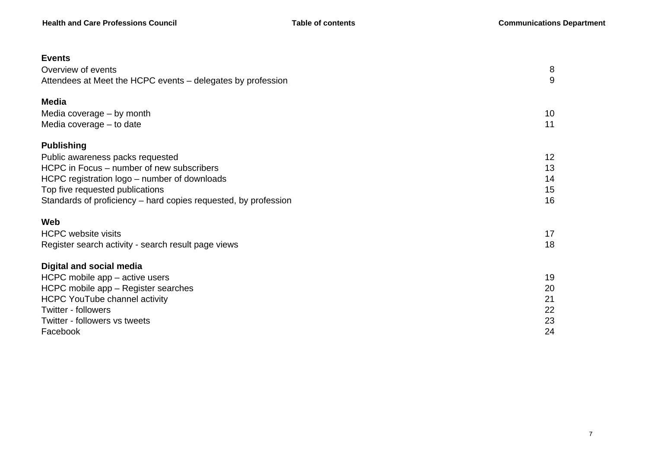| <b>Events</b>                                                   |    |
|-----------------------------------------------------------------|----|
| Overview of events                                              | 8  |
| Attendees at Meet the HCPC events – delegates by profession     | 9  |
| <b>Media</b>                                                    |    |
| Media coverage - by month                                       | 10 |
| Media coverage - to date                                        | 11 |
| <b>Publishing</b>                                               |    |
| Public awareness packs requested                                | 12 |
| HCPC in Focus – number of new subscribers                       | 13 |
| HCPC registration logo – number of downloads                    | 14 |
| Top five requested publications                                 | 15 |
| Standards of proficiency - hard copies requested, by profession | 16 |
| Web                                                             |    |
| <b>HCPC</b> website visits                                      | 17 |
| Register search activity - search result page views             | 18 |
| <b>Digital and social media</b>                                 |    |
| HCPC mobile app - active users                                  | 19 |
| HCPC mobile app - Register searches                             | 20 |
| <b>HCPC YouTube channel activity</b>                            | 21 |
| <b>Twitter - followers</b>                                      | 22 |
| Twitter - followers vs tweets                                   | 23 |
| Facebook                                                        | 24 |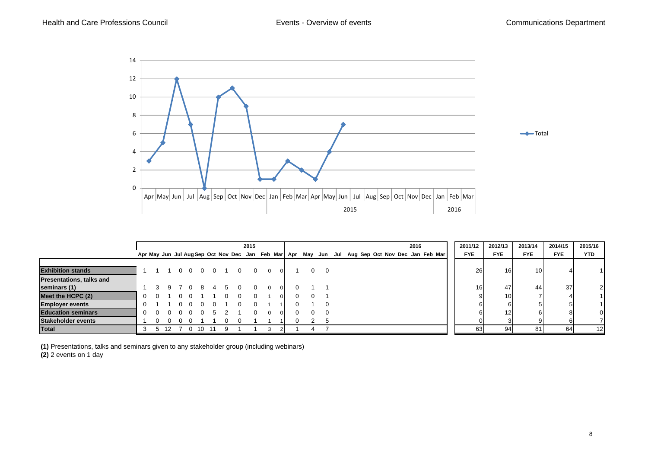

|                                 |   |               |     |            |               |     |   | 2015 |          |          |  |            |          |                                                                                                 | 2016 | 2011/12    | 2012/13         | 2013/14         | 2014/15    | 2015/16    |
|---------------------------------|---|---------------|-----|------------|---------------|-----|---|------|----------|----------|--|------------|----------|-------------------------------------------------------------------------------------------------|------|------------|-----------------|-----------------|------------|------------|
|                                 |   |               |     |            |               |     |   |      |          |          |  |            |          | Apr May Jun Jul Aug Sep Oct Nov Dec Jan Feb Mar Apr May Jun Jul Aug Sep Oct Nov Dec Jan Feb Mar |      | <b>FYE</b> | <b>FYE</b>      | <b>FYE</b>      | <b>FYE</b> | <b>YTD</b> |
|                                 |   |               |     |            |               |     |   |      |          |          |  |            |          |                                                                                                 |      |            |                 |                 |            |            |
| <b>Exhibition stands</b>        |   |               |     |            | 0 0 0 0 1 0 0 |     |   |      | $\Omega$ | $\Omega$ |  | $0\quad 0$ |          |                                                                                                 |      | <b>26</b>  | 16 <sup>l</sup> | 10 <sup>1</sup> |            |            |
| <b>Presentations, talks and</b> |   |               |     |            |               |     |   |      |          |          |  |            |          |                                                                                                 |      |            |                 |                 |            |            |
| seminars (1)                    |   |               |     |            |               |     |   |      | $\Omega$ | $\Omega$ |  |            |          |                                                                                                 |      | <b>16</b>  | 47              | 44              | 37         | 2          |
| Meet the HCPC (2)               |   | $\Omega$      |     | $^{\circ}$ |               |     |   |      |          | ΩL       |  | $\Omega$   |          |                                                                                                 |      |            | 10 <sup>1</sup> |                 |            |            |
| <b>Employer events</b>          |   |               |     |            |               |     |   |      |          |          |  |            | $\Omega$ |                                                                                                 |      |            |                 |                 |            |            |
| <b>Education seminars</b>       |   |               |     |            |               |     |   |      |          | $\Omega$ |  | 0          | $\Omega$ |                                                                                                 |      |            | 12 <sub>l</sub> |                 |            | 0          |
| Stakeholder events              |   |               |     |            |               |     |   |      |          |          |  | റ          | -5       |                                                                                                 |      |            |                 |                 |            |            |
| <b>Total</b>                    | 3 | $\mathcal{D}$ | -12 | <u>ດ</u>   | 10            | -11 | 9 |      |          |          |  | Д          |          |                                                                                                 |      | 63         | 94              | 81              | 64         | 12         |

**(1)** Presentations, talks and seminars given to any stakeholder group (including webinars)

**(2)** 2 events on 1 day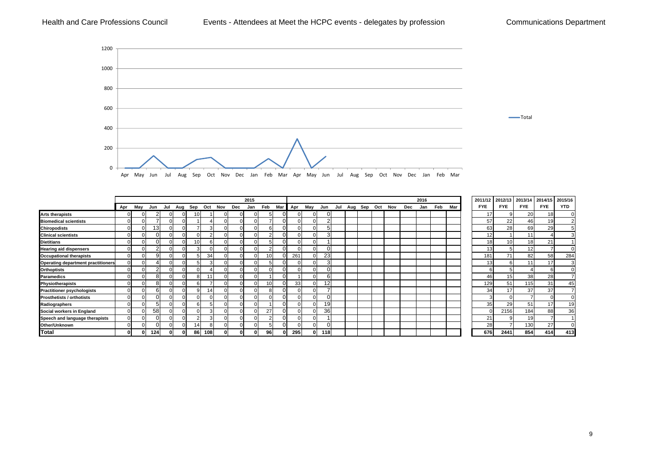#### Health and Care Professions Council **Events - Attendees at Meet the HCPC events - delegates by profession** Communications Department



|                                           |          |          |     |          |                     |     |          | 2015 |                 |         |     |     |  |  |                         | 2016 |     |     | 2011/12    | 2012/13               | 2013/14    | 2014/15 | 2015/16    |
|-------------------------------------------|----------|----------|-----|----------|---------------------|-----|----------|------|-----------------|---------|-----|-----|--|--|-------------------------|------|-----|-----|------------|-----------------------|------------|---------|------------|
|                                           | Apr      | Mav      | Jun | Jul      | Aug Sep Oct Nov Dec |     |          | Jan  | Feb             | Mar Apr | May | Jun |  |  | Jul Aug Sep Oct Nov Dec | Jan  | Feb | Mar | <b>FYE</b> | <b>FYE</b>            | <b>FYE</b> | FYE.    | <b>YTD</b> |
| <b>Arts therapists</b>                    | $\Omega$ | $\Omega$ |     | 0        | 10 <sup>1</sup>     |     | 0        | 01   |                 |         |     |     |  |  |                         |      |     |     |            | 17<br>9               | 20         | 18      |            |
| <b>Biomedical scientists</b>              | ∩ !      |          |     |          |                     |     | 0        | 0    |                 |         |     |     |  |  |                         |      |     |     |            | 57<br>22              | 46         | 19      |            |
| <b>Chiropodists</b>                       | $\Omega$ |          | 13  | U        |                     |     |          |      |                 |         |     |     |  |  |                         |      |     |     |            | 63<br>28              | 69         | 29      |            |
| <b>Clinical scientists</b>                | $\Omega$ |          |     |          |                     |     |          |      |                 |         |     |     |  |  |                         |      |     |     |            | 12                    | 11         |         |            |
| <b>Dietitians</b>                         |          |          |     |          | 10 <sup>1</sup>     |     |          |      |                 |         |     |     |  |  |                         |      |     |     |            | 18 <sub>1</sub><br>10 | 18         | 21      |            |
| <b>Hearing aid dispensers</b>             | $\Omega$ |          |     | U        |                     |     |          |      |                 |         |     |     |  |  |                         |      |     |     |            | 13                    | 12         |         |            |
| <b>Occupational therapists</b>            | $\Omega$ |          |     | $\Omega$ |                     | 34  |          | 0    | 10 <sup>1</sup> | 261     |     | 23  |  |  |                         |      |     |     | 181        | 71                    | 82         | 58      | 284        |
| <b>Operating department practitioners</b> | $\Omega$ |          |     | $\Omega$ |                     |     |          |      |                 |         |     |     |  |  |                         |      |     |     |            | 13<br>6               | 11         | 17      |            |
| <b>Orthoptists</b>                        | $\Omega$ |          |     | $\Omega$ |                     |     | 0        | 0    |                 |         |     |     |  |  |                         |      |     |     |            |                       |            |         |            |
| <b>Paramedics</b>                         | $\Omega$ |          |     |          | 81                  | 11  | $\Omega$ |      |                 |         |     |     |  |  |                         |      |     |     |            | 46<br>15 <sub>l</sub> | 38         | 28      |            |
| Physiotherapists                          | $\Omega$ |          |     |          |                     |     |          |      | 10 <sup>1</sup> | 33      |     |     |  |  |                         |      |     |     | 129        | 51                    | 115        | 31      | 45         |
| <b>Practitioner psychologists</b>         | 0.       |          |     |          |                     | 14. |          | 0    |                 |         |     |     |  |  |                         |      |     |     |            | 34<br>17              | 37         | 37      |            |
| <b>Prosthetists / orthotists</b>          | $\Omega$ |          |     | $\Omega$ |                     |     | 0        | 0    |                 |         |     |     |  |  |                         |      |     |     |            |                       |            |         |            |
| Radiographers                             | $\Omega$ |          |     | $\Omega$ |                     |     | $\Omega$ |      |                 |         |     | 19  |  |  |                         |      |     |     |            | 35<br>29              | 51         | 17      | 19         |
| Social workers in England                 | $\Omega$ |          | 58  |          |                     |     |          |      | 27              |         |     | 36  |  |  |                         |      |     |     |            | 2156                  | 184        | 88      | 36         |
| Speech and language therapists            | $\Omega$ |          |     | U        |                     |     |          |      |                 |         |     |     |  |  |                         |      |     |     |            | 21                    | 19         |         |            |
| Other/Unknown                             | $\Omega$ |          |     |          | 14 I                |     |          |      |                 |         |     |     |  |  |                         |      |     |     |            | 28                    | 130        | 27      |            |
| Total                                     | 01       |          | 124 | 0        | 86                  | 108 |          |      | 96              | 295     | 0   | 118 |  |  |                         |      |     |     |            | 676<br>2441           | 854        | 414     | 413        |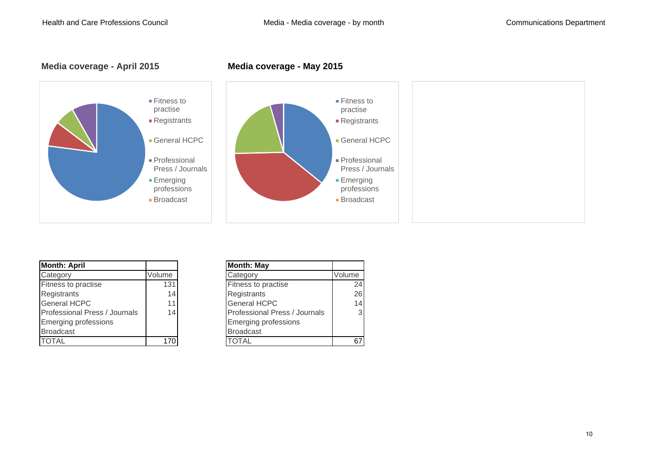





| <b>Month: April</b>           |        | <b>Month: May</b>             |        |
|-------------------------------|--------|-------------------------------|--------|
| Category                      | Volume | Category                      | Volume |
| <b>Fitness to practise</b>    | 131    | Fitness to practise           | 24     |
| Registrants                   | 14     | Registrants                   | 26     |
| <b>General HCPC</b>           | 11     | <b>General HCPC</b>           | 14     |
| Professional Press / Journals | 14     | Professional Press / Journals | 3      |
| <b>Emerging professions</b>   |        | <b>Emerging professions</b>   |        |
| <b>Broadcast</b>              |        | <b>Broadcast</b>              |        |
| <b>TOTAL</b>                  | 170    | TOTAL                         | 67     |

| າ: April                |        | <b>Month: May</b>             |                 |
|-------------------------|--------|-------------------------------|-----------------|
| ory                     | Volume | Category                      | Volume          |
| s to practise           | 131    | Fitness to practise           | 24              |
| trants                  | 14     | Registrants                   | 26              |
| al HCPC                 | 11     | <b>General HCPC</b>           | 14 <sub>1</sub> |
| sional Press / Journals | 14     | Professional Press / Journals | 3 <sub>l</sub>  |
| jing professions        |        | <b>Emerging professions</b>   |                 |
| cast                    |        | <b>Broadcast</b>              |                 |
|                         | 170    | TOTAL                         |                 |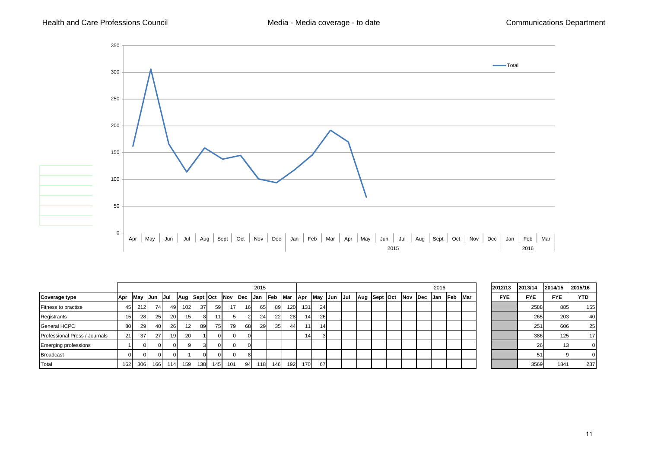

|                               |            |     |             |           |                 |              |     |            |                 | 2015 |                 |             |                 |                 |         |     |              |  |             |             | 2016       |             |            | 2012/13    | 2013/14    | 2014/15    | 2015/16    |
|-------------------------------|------------|-----|-------------|-----------|-----------------|--------------|-----|------------|-----------------|------|-----------------|-------------|-----------------|-----------------|---------|-----|--------------|--|-------------|-------------|------------|-------------|------------|------------|------------|------------|------------|
| <b>Coverage type</b>          | <b>Apr</b> |     | May Jun Jul |           |                 | Aug Sept Oct |     | <b>Nov</b> | Dec             | Jan  | <b>Feb</b>      | <b>IMar</b> | <b>Apr</b>      |                 | May Jun | Jul | Aug Sept Oct |  | <b>INov</b> | <b>IDec</b> | <b>Jan</b> | <b>IFeb</b> | <b>Mar</b> | <b>FYE</b> | <b>FYE</b> | <b>FYE</b> | <b>YTD</b> |
| Fitness to practise           | 45         | 212 | 74          | 49        | 102             | 37           | 59  | 17         | 16 <sub>1</sub> | 65   | 89              | 120         | 131             | 24              |         |     |              |  |             |             |            |             |            |            | 2588       | 885        | 155        |
| Registrants                   | 15         | 28  | 25          | <b>20</b> | 15 <sub>l</sub> | 8            |     |            |                 | 24   | 22              | 28          | 14 <sub>l</sub> | 26              |         |     |              |  |             |             |            |             |            |            | 265        | 203        | 40         |
| <b>General HCPC</b>           | 80         | 29  |             | 26        | 12              | 89           | 75  | 79         | 68              | 29   | 35 <sub>l</sub> | 44          | 11.             | 14 <sub>1</sub> |         |     |              |  |             |             |            |             |            |            | 251        | 606        | 25         |
| Professional Press / Journals | 21         | 37' | 27          | 19        | 20 <sup>1</sup> |              |     |            | $\Omega$        |      |                 |             | 14 <sub>1</sub> |                 |         |     |              |  |             |             |            |             |            |            | 386        | 125        | 17         |
| <b>Emerging professions</b>   |            |     |             |           |                 |              |     |            | $\Omega$        |      |                 |             |                 |                 |         |     |              |  |             |             |            |             |            |            |            |            |            |
| <b>Broadcast</b>              | $\Omega$   |     |             |           |                 |              |     |            | 8               |      |                 |             |                 |                 |         |     |              |  |             |             |            |             |            |            |            |            |            |
| Total                         | 162        | 306 | 166         | 114       | 159             | 138          | 145 | 101        | 94              | 118  | 146             | 192         | 170             | 67              |         |     |              |  |             |             |            |             |            |            | 3569       | 1841       | 237        |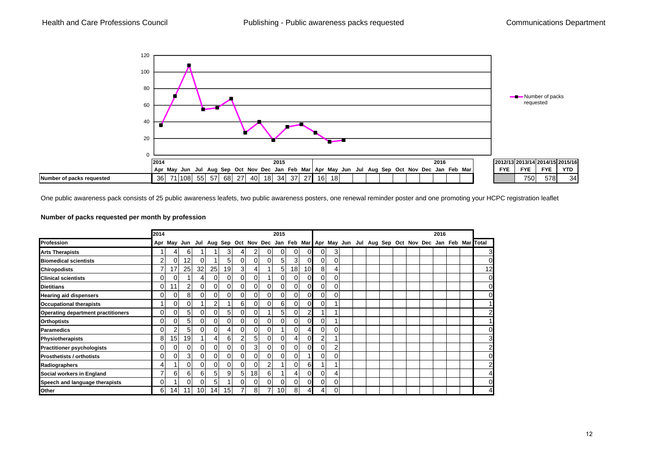

One public awareness pack consists of 25 public awareness leafets, two public awareness posters, one renewal reminder poster and one promoting your HCPC registration leaflet

#### **Number of packs requested per month by profession**

|                                           | 2014           |                |    |                 |                 |                 |                |                 |               | 2015            |                 |          |                |    |  |  |  | 2016 |  |                                                                                                       |
|-------------------------------------------|----------------|----------------|----|-----------------|-----------------|-----------------|----------------|-----------------|---------------|-----------------|-----------------|----------|----------------|----|--|--|--|------|--|-------------------------------------------------------------------------------------------------------|
| Profession                                |                |                |    |                 |                 |                 |                |                 |               |                 |                 |          |                |    |  |  |  |      |  | Apr May Jun Jul Aug Sep Oct Nov Dec Jan Feb Mar Apr May Jun Jul Aug Sep Oct Nov Dec Jan Feb Mar Total |
| <b>Arts Therapists</b>                    |                | 4              | 61 |                 |                 | 31              | 4              |                 | ΩI            | $\Omega$        | $\Omega$        | ΩI       | $\Omega$       | 31 |  |  |  |      |  | $3 \blacksquare$                                                                                      |
| <b>Biomedical scientists</b>              | $\overline{2}$ | 0              | 12 | 01              |                 | 51              | 0              | ΟI              | ΟI            | 5 <sub>l</sub>  | 31              | OI       | $\overline{0}$ | ΩI |  |  |  |      |  | 0                                                                                                     |
| <b>Chiropodists</b>                       |                | 17             | 25 | 32              | 25              | 19              | 3              | 4               |               | 51              | 18 <sup>l</sup> | 10       | 8              |    |  |  |  |      |  | 12                                                                                                    |
| <b>Clinical scientists</b>                | 0              | $\overline{0}$ |    | 41              | $\overline{0}$  | $\overline{0}$  | $\overline{0}$ | $\overline{0}$  |               | $\Omega$        | 0l              | 0        | $\overline{0}$ | ΟI |  |  |  |      |  | $\overline{0}$                                                                                        |
| <b>Dietitians</b>                         | 01             | 11             | 2  | 01              | Οl              | $\overline{0}$  | $\overline{0}$ | $\overline{0}$  | ΟI            | οI              | 0l              | 0        | $\overline{0}$ | 01 |  |  |  |      |  | $\overline{0}$                                                                                        |
| <b>Hearing aid dispensers</b>             | Οl             | 0              | 8  | ΟI              | ΟI              | $\overline{0}$  | 0              | $\Omega$        | ΩI            | $\Omega$        | 0               | 0        | $\Omega$       | ΟI |  |  |  |      |  | $\overline{0}$                                                                                        |
| <b>Occupational therapists</b>            |                | $\Omega$       |    |                 | 2               |                 | 6              | $\Omega$        | ΩI            | 6               | 01              | 0        | $\Omega$       |    |  |  |  |      |  | 11                                                                                                    |
| <b>Operating department practitioners</b> | 0              | 0              | 51 | 01              | 01              | 51              | 0              | 0               |               | 51              | 0               | 2        |                |    |  |  |  |      |  | $\overline{2}$                                                                                        |
| <b>Orthoptists</b>                        | 01             | 01             | 51 | ΟI              | ΟI              | $\Omega$        | 0              | $\Omega$        | ΩI            | $\Omega$        | $\Omega$        | n        | $\Omega$       |    |  |  |  |      |  |                                                                                                       |
| <b>Paramedics</b>                         | 01             | 2              | 5  | ΟI              | 0               |                 |                | $\Omega$        |               |                 |                 |          | $\Omega$       | ΩI |  |  |  |      |  | 0                                                                                                     |
| <b>Physiotherapists</b>                   | 8              | 15             | 19 |                 | 4               | 61              | 2              | 5 <sub>l</sub>  |               | $\Omega$        |                 |          | $\overline{2}$ |    |  |  |  |      |  | 3                                                                                                     |
| <b>Practitioner psychologists</b>         | ΩI             | 0I             |    | ΩI              | $\Omega$        | ΩI              | ი              | 3               | ΩI            | ΩI              | ΩI              |          | $\Omega$       |    |  |  |  |      |  | $\overline{2}$                                                                                        |
| <b>Prosthetists / orthotists</b>          | ΩI             | 0              | 3  | ΟI              | $\Omega$        | ΟI              | 0              | $\Omega$        |               | $\Omega$        | ΩI              |          | 0              | ∩∎ |  |  |  |      |  | $\overline{0}$                                                                                        |
| Radiographers                             | 4              |                |    | ΩI              | $\Omega$        | ΟI              | 0              | $\Omega$        | $\mathcal{P}$ |                 | ΩI              | 6        |                |    |  |  |  |      |  | $\overline{2}$                                                                                        |
| Social workers in England                 | 7              | 6              | 61 | 61              | 5               | 91              | 5              | 18 <sub>l</sub> | 61            |                 | 4               | $\Omega$ | $\Omega$       |    |  |  |  |      |  | 41                                                                                                    |
| Speech and language therapists            | 0              |                |    | ΟI              | 5               |                 | $\Omega$       | $\Omega$        | ΩI            | $\Omega$        | $\Omega$        | $\Omega$ | $\Omega$       | ΩI |  |  |  |      |  | $\overline{0}$                                                                                        |
| Other                                     | 61             | 14             | 11 | 10 <sup>1</sup> | 14 <sup>1</sup> | 15 <sub>l</sub> |                | 81              |               | 10 <sup>1</sup> | 8               | 4        | 4.             | nΙ |  |  |  |      |  | $\overline{4}$                                                                                        |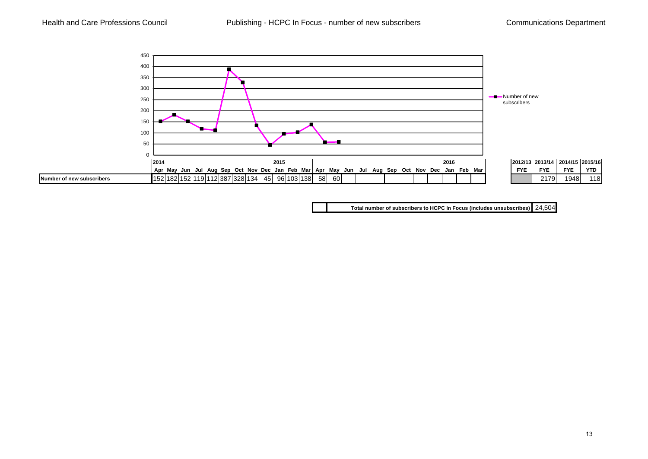

**Total number of subscribers to HCPC In Focus (includes unsubscribes)** 24,504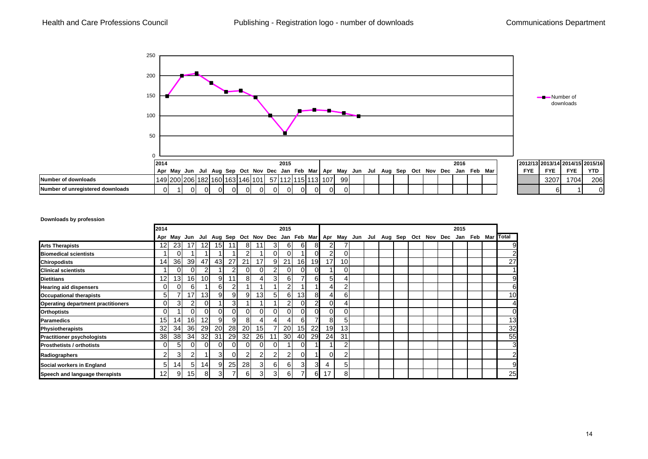

#### **Downloads by profession**

|                                           | 2014            |                 |                 |                 |                 |                 |          |                 |    | 2015            |                 |                |    |                 |  |  |  | 2015 |  |                                                                                                       |
|-------------------------------------------|-----------------|-----------------|-----------------|-----------------|-----------------|-----------------|----------|-----------------|----|-----------------|-----------------|----------------|----|-----------------|--|--|--|------|--|-------------------------------------------------------------------------------------------------------|
|                                           |                 |                 |                 |                 |                 |                 |          |                 |    |                 |                 |                |    |                 |  |  |  |      |  | Apr May Jun Jul Aug Sep Oct Nov Dec Jan Feb Mar Apr May Jun Jul Aug Sep Oct Nov Dec Jan Feb Mar Total |
| <b>Arts Therapists</b>                    | 12 <sub>1</sub> | 23              | 17              | 12 <sub>l</sub> | 15 <sup>1</sup> | 11              | 81       |                 | 31 | 6I              | 61              | 8              |    | 7               |  |  |  |      |  | 9                                                                                                     |
| <b>Biomedical scientists</b>              |                 |                 |                 |                 |                 |                 | 2        |                 | ΩI | $\Omega$        |                 |                |    | 0               |  |  |  |      |  | $\overline{2}$                                                                                        |
| <b>Chiropodists</b>                       | 14              | 36              | 39              | 47              | 43              | 27              | 21       | 17              | 91 | 21              | 16I             | 19             | 17 | 10 <sup>1</sup> |  |  |  |      |  | 27                                                                                                    |
| <b>Clinical scientists</b>                |                 | 0               | 0l              | 2               |                 | 2               | $\Omega$ | ΩI              | 2  | 01              | ΟI              | $\Omega$       |    | 0               |  |  |  |      |  |                                                                                                       |
| <b>Dietitians</b>                         | 12              | 13 <sub>1</sub> | <b>161</b>      | 10 <sup>1</sup> | 9               | 11 <sub>1</sub> | 81       |                 | 31 | 61              |                 | 6              | 51 | $\overline{4}$  |  |  |  |      |  | 9                                                                                                     |
| <b>Hearing aid dispensers</b>             | ΩI              | 0               | 6               |                 | 6               | 2               |          |                 |    | 2               |                 |                |    | 2               |  |  |  |      |  | 6                                                                                                     |
| <b>Occupational therapists</b>            | 51              |                 | 17 <sub>1</sub> | 13              | 9               | 9               | 91       | 13 <sub>l</sub> | 51 | 6I              | 13 <sub>l</sub> | 8              |    | 6               |  |  |  |      |  | 10                                                                                                    |
| <b>Operating department practitioners</b> | ΩI              | 31              | 2               | $\Omega$        |                 | 3 <sup>l</sup>  |          |                 |    | 2               | ΟI              | $\overline{2}$ |    | $\overline{4}$  |  |  |  |      |  | 4                                                                                                     |
| <b>Orthoptists</b>                        | $\Omega$        |                 | ΩI              | $\Omega$        | 01              | $\Omega$        | $\Omega$ | ΩI              | ΩI | $\Omega$        | ΟI              |                |    | 0               |  |  |  |      |  | 0                                                                                                     |
| <b>Paramedics</b>                         | 15 <sup>1</sup> | 14 <sub>1</sub> | 16              | 12 <sub>l</sub> | 9               | 9               | 81       |                 | 4  | 41              | 61              |                | 81 | 5               |  |  |  |      |  | 13                                                                                                    |
| <b>Physiotherapists</b>                   | 32              | 34              | 36I             | <b>29</b>       | <b>20</b>       | 28              | 20       | 15 <sup>1</sup> |    | <b>20</b>       | 15 <sup>1</sup> | 22             | 19 | 13              |  |  |  |      |  | 32                                                                                                    |
| <b>Practitioner psychologists</b>         | 38              | 38              | 34              | 32 <sub>l</sub> | 31              | 29              | 32       | <b>26</b>       | 11 | 30 <sup>1</sup> | 40              | 29             | 24 | 31              |  |  |  |      |  | 55                                                                                                    |
| <b>Prosthetists / orthotists</b>          | ΩI              | 51              | ΟI              | $\Omega$        | 0               | $\Omega$        | $\Omega$ | 01              | ΟI |                 | ΩI              |                |    | 2               |  |  |  |      |  | 3                                                                                                     |
| Radiographers                             | $\overline{2}$  | 3               | 2               |                 | 3I              | 0I              | ◠        | 21              | 2  | 2               | ΟI              |                |    | 2               |  |  |  |      |  | $\overline{2}$                                                                                        |
| Social workers in England                 | 51              | 14 <sub>1</sub> | 51              | 14              | 9               | <b>25</b>       | 28       | 31              | 61 | 61              | 31              | 3              | 4  | 51              |  |  |  |      |  | 9                                                                                                     |
| Speech and language therapists            | 12 <sub>l</sub> | 9               | 151             | 8               | 3               | 7               | 61       | 31              | 31 | 61              |                 | 6              | 17 | 8               |  |  |  |      |  | 25                                                                                                    |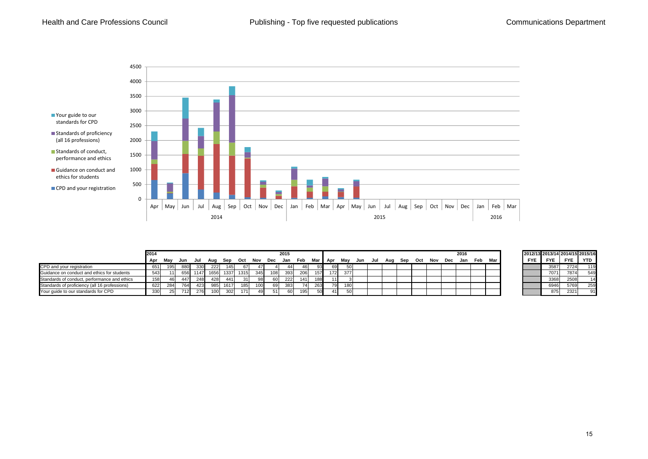

|                                               | 2014 |      |     |      |      |      |      |     |     | 2015 |     |      |         |     |     |     |     |     |     |     |     | 2016 |     |     | 2012/13 2013/14 2014/15 2015/16 |            |            |                 |
|-----------------------------------------------|------|------|-----|------|------|------|------|-----|-----|------|-----|------|---------|-----|-----|-----|-----|-----|-----|-----|-----|------|-----|-----|---------------------------------|------------|------------|-----------------|
|                                               | Apr  | Mav  | Jun | Jul  | Aug  | Sep  | Oct  | Nov | Dec | Jan  | Feb |      | Mar Apr | May | Jun | Jul | Aug | Sep | Oct | Nov | Dec | Jan  | Feb | Mar | <b>FYE</b>                      | <b>FYE</b> | <b>FYE</b> | YTD             |
| CPD and your registration                     | 651  | 1951 | 880 | 330  | 222  | 45   | 67 I | 471 |     | 441  | 461 | 93 I | 691     |     |     |     |     |     |     |     |     |      |     |     |                                 | 3587       | 2724       | 11 <sup>c</sup> |
| Guidance on conduct and ethics for students   | 543  |      | 656 | 1147 | 1656 | 1337 | 1315 | 345 | 108 | 393  | 206 | 157  | 172     | 377 |     |     |     |     |     |     |     |      |     |     |                                 | 7071       | 7874       | 549             |
| Standards of conduct, performance and ethics  | 158  |      |     | 248  | 428  | 441  | 31   | 98  |     | 222  | 141 | 188  |         |     |     |     |     |     |     |     |     |      |     |     |                                 | 3368       | 2508       |                 |
| Standards of proficiency (all 16 professions) | 622  | 284  | 764 | 423  | 985. | 1617 | 185  | 100 |     | 383  |     | 263  | 79      | 180 |     |     |     |     |     |     |     |      |     |     |                                 | 6946       | 5769       | 25 <sup>c</sup> |
| Your guide to our standards for CPD           | 330  |      | 12  | 276  | 100  | 302  | 171  | 49  |     |      |     | 50   |         |     |     |     |     |     |     |     |     |      |     |     |                                 | 875        | 2321       |                 |

| 2012/13 2013/14 2014/15 2015/16 |            |            |            |
|---------------------------------|------------|------------|------------|
| <b>FYE</b>                      | <b>FYE</b> | <b>FYE</b> | <b>YTD</b> |
|                                 | 3587       | 2724       | 119        |
|                                 | 7071       | 7874       | 549        |
|                                 | 3368       | 2508       | 14         |
|                                 | 6946       | 5769       | 259        |
|                                 | 875        | 2321       | 91         |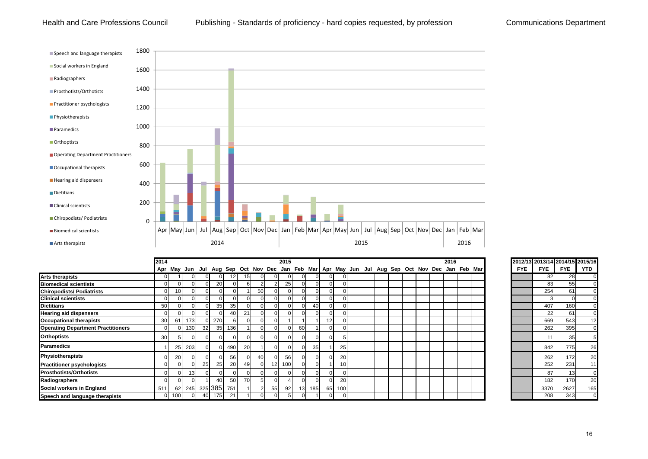Health and Care Professions Council Publishing - Standards of proficiency - hard copies requested, by profession Communications Department



|                                           | 2014            |                 |                 |    |                 |     |    |                |                 | 2015 |                 |     |                 |                       |                                                                                                 |  |  |  | 2016 |  |            | 2012/13 2013/14 2014/15 2015/16 |            |            |
|-------------------------------------------|-----------------|-----------------|-----------------|----|-----------------|-----|----|----------------|-----------------|------|-----------------|-----|-----------------|-----------------------|-------------------------------------------------------------------------------------------------|--|--|--|------|--|------------|---------------------------------|------------|------------|
|                                           |                 |                 |                 |    |                 |     |    |                |                 |      |                 |     |                 |                       | Apr May Jun Jul Aug Sep Oct Nov Dec Jan Feb Mar Apr May Jun Jul Aug Sep Oct Nov Dec Jan Feb Mar |  |  |  |      |  | <b>FYE</b> | <b>FYE</b>                      | <b>FYE</b> | <b>YTD</b> |
| <b>Arts therapists</b>                    | $\Omega$        |                 |                 |    |                 |     |    | $\Omega$       |                 |      |                 |     |                 |                       |                                                                                                 |  |  |  |      |  |            | 82                              | 28         |            |
| <b>Biomedical scientists</b>              | $\overline{0}$  |                 |                 |    | 20              |     |    |                |                 | 25   |                 |     |                 | $\Omega$              |                                                                                                 |  |  |  |      |  |            | 83                              | 55         |            |
| <b>Chiropodists/ Podiatrists</b>          | $\overline{0}$  | 101             |                 |    |                 |     |    | 50             |                 |      |                 |     |                 | $\Omega$              |                                                                                                 |  |  |  |      |  |            | 254                             | 61         |            |
| <b>Clinical scientists</b>                | $\Omega$        |                 |                 |    |                 |     |    | $\overline{0}$ |                 |      |                 |     |                 |                       |                                                                                                 |  |  |  |      |  |            |                                 |            |            |
| <b>Dietitians</b>                         | 50              |                 |                 |    | 35 <sub>l</sub> | 35  |    | $\Omega$       |                 |      |                 |     |                 |                       |                                                                                                 |  |  |  |      |  |            | 407                             | 160        |            |
| <b>Hearing aid dispensers</b>             | $\Omega$        |                 |                 |    |                 | 40  | 21 | $\Omega$       |                 |      |                 |     |                 |                       |                                                                                                 |  |  |  |      |  |            | 22                              | 61         |            |
| <b>Occupational therapists</b>            | 30 <sup>l</sup> | 61              | 173             |    | 270             |     |    | $\Omega$       |                 |      |                 |     | 12 <sub>1</sub> |                       |                                                                                                 |  |  |  |      |  |            | 669                             | 543        | 12         |
| <b>Operating Department Practitioners</b> | $\Omega$        |                 | 130             | 32 | 35 <sup>1</sup> | 136 |    | $\Omega$       |                 |      | 60              |     |                 |                       |                                                                                                 |  |  |  |      |  |            | 262                             | 395        |            |
| <b>Orthoptists</b>                        | 30 <sup>l</sup> |                 |                 |    |                 |     |    | $\overline{0}$ |                 |      | $\Omega$        |     |                 |                       |                                                                                                 |  |  |  |      |  |            | 11                              | 35         |            |
| <b>Paramedics</b>                         |                 | 25 <sup>1</sup> | 203             |    | 0               | 490 | 20 |                |                 |      | $\Omega$        | 35  |                 | 25                    |                                                                                                 |  |  |  |      |  |            | 842                             | 775        | 26         |
| Physiotherapists                          | $\Omega$        | 20              |                 |    |                 | 56  |    | 40             |                 | 56   |                 |     |                 | <b>20</b>             |                                                                                                 |  |  |  |      |  |            | 262                             | 172        | 20         |
| <b>Practitioner psychologists</b>         | $\Omega$        |                 |                 | 25 | 25              | 20  | 49 | $\Omega$       | 12 <sub>1</sub> | 100  | $\Omega$        |     |                 | 10                    |                                                                                                 |  |  |  |      |  |            | 252                             | 231        | 11         |
| <b>Prosthotists/Orthotists</b>            | $\Omega$        |                 | 13 <sup>l</sup> |    |                 |     |    | $\Omega$       |                 |      | <sup>0</sup>    |     |                 | $\Omega$              |                                                                                                 |  |  |  |      |  |            | 87                              | 13         |            |
| Radiographers                             | $\Omega$        |                 |                 |    | 40              | 50  | 70 | 5 <sub>l</sub> |                 |      |                 |     |                 | <b>20</b><br>$\Omega$ |                                                                                                 |  |  |  |      |  |            | 182                             | 170        | 20         |
| Social workers in England                 | 511             |                 | 62 245          |    | 325 385         | 751 |    | 21             | 55              | 92   | 13 <sup>1</sup> | 185 | 65              | 100                   |                                                                                                 |  |  |  |      |  |            | 3370                            | 2627       | 165        |
| Speech and language therapists            | $\overline{0}$  | 100             |                 | 40 | 175             | 21  |    | $\Omega$       |                 |      |                 |     |                 |                       |                                                                                                 |  |  |  |      |  |            | 208                             | 343        |            |

|            | 2012/13 2013/14 2014/15 2015/16 |            |                 |
|------------|---------------------------------|------------|-----------------|
| <b>FYE</b> | <b>FYE</b>                      | <b>FYE</b> | YTD             |
|            | 82                              | 28         | 0               |
|            | 83                              | 55         | 0               |
|            | 254                             | 61         | $\overline{0}$  |
|            | 3                               | 0          | $\overline{0}$  |
|            | 407                             | 160        | $\overline{0}$  |
|            | 22                              | 61         | $\overline{0}$  |
|            | 669                             | 543        | $\overline{12}$ |
|            | 262                             | 395        | O               |
|            | 11                              | 35         | 5               |
|            | 842                             | 775        | 26              |
|            | 262                             | 172        | 20              |
|            | 252                             | 231        | 11              |
|            | 87                              | 13         | 0               |
|            | 182                             | 170        | 20              |
|            | 3370                            | 2627       | 165             |
|            | 208                             | 343        | 0               |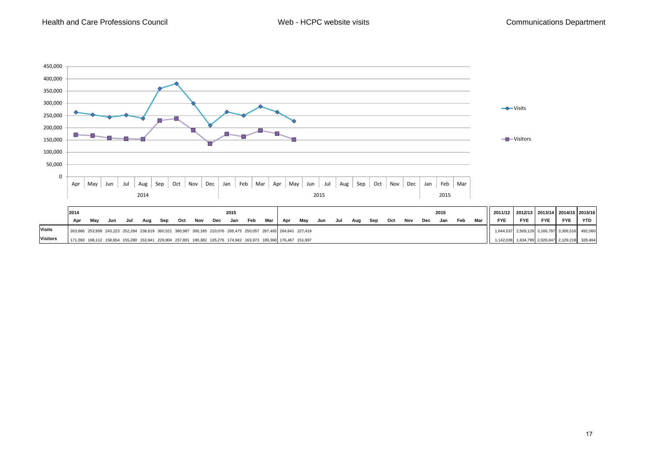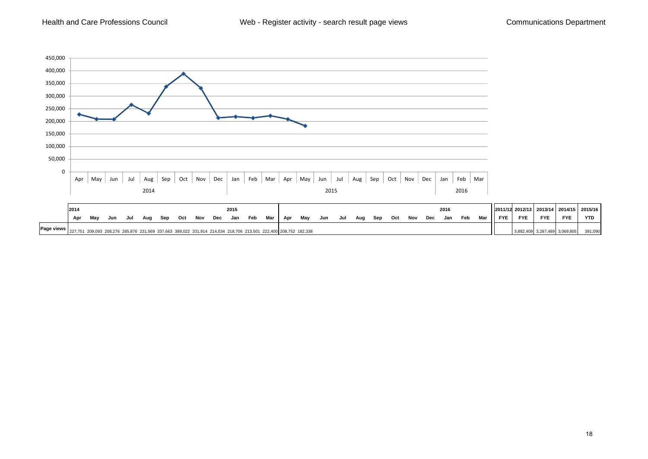Health and Care Professions Council



|            | 2015<br>2014 |     |     |     |     |     |     |     |     |     |                                                                                                                 |     |     |     |     |     |     |     |     |     |     | 2016 |     |     |            | 2011/12 2012/13 |            |            | 2013/14 2014/15 2015/16 |
|------------|--------------|-----|-----|-----|-----|-----|-----|-----|-----|-----|-----------------------------------------------------------------------------------------------------------------|-----|-----|-----|-----|-----|-----|-----|-----|-----|-----|------|-----|-----|------------|-----------------|------------|------------|-------------------------|
|            | Apr          | Mav | Jun | Jul | Aua | Sep | Oct | Nov | Dec | Jan | Feb                                                                                                             | Mar | Apr | Mav | Jun | Jul | Aug | Sep | Oct | Nov | Dec | Jan  | Feb | Mar | <b>FYE</b> | <b>FYE</b>      | <b>FYE</b> | <b>FYE</b> | YTD                     |
| Page views |              |     |     |     |     |     |     |     |     |     | 227,751 209,093 208,276 265,876 231,569 337,663 389,022 331,914 214,034 218,706 213,501 222,400 208,752 182,338 |     |     |     |     |     |     |     |     |     |     |      |     |     |            |                 | 3,287,489  | 3,069,805  | 391,090                 |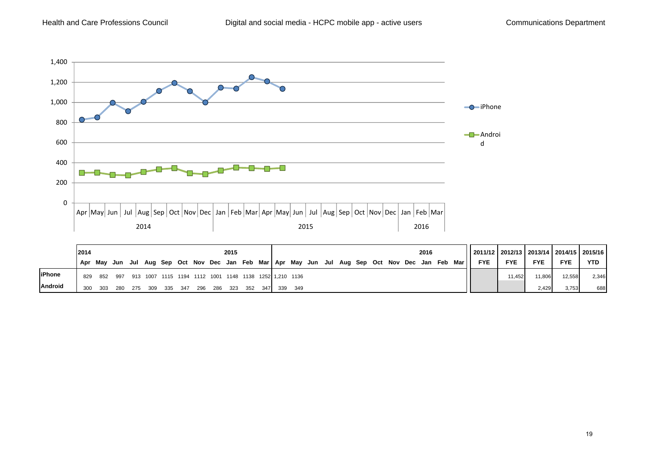

|                | 2014    |     |      |     | 2015 |       |       |       |       |       |       |       |                                                            |     |  |  |  |  |  |  | 2016 |                                                                                           | 2011/12   2012/13   2013/14   2014/15   2015/16 |            |            |            |            |
|----------------|---------|-----|------|-----|------|-------|-------|-------|-------|-------|-------|-------|------------------------------------------------------------|-----|--|--|--|--|--|--|------|-------------------------------------------------------------------------------------------|-------------------------------------------------|------------|------------|------------|------------|
|                | Apr Mav |     |      |     |      |       |       |       |       |       |       |       |                                                            |     |  |  |  |  |  |  |      | Jun Jul Aug Sep Oct Nov Dec Jan Feb Mar   Apr May Jun Jul Aug Sep Oct Nov Dec Jan Feb Mar | <b>FYE</b>                                      | <b>FYE</b> | <b>FYE</b> | <b>FYE</b> | <b>YTD</b> |
| <b>liPhone</b> | 829     | 852 |      |     |      |       |       |       |       |       |       |       | 997 913 1007 1115 1194 1112 1001 1148 1138 1252 1.210 1136 |     |  |  |  |  |  |  |      |                                                                                           |                                                 | 11.452     | 11.806     | 12,558     | 2,346      |
| <b>Android</b> | 300     | 303 | -280 | 275 | -309 | - 335 | - 347 | - 296 | - 286 | - 323 | - 352 | - 347 | 339                                                        | 349 |  |  |  |  |  |  |      |                                                                                           |                                                 |            | 2,429      | 3,753      | 688        |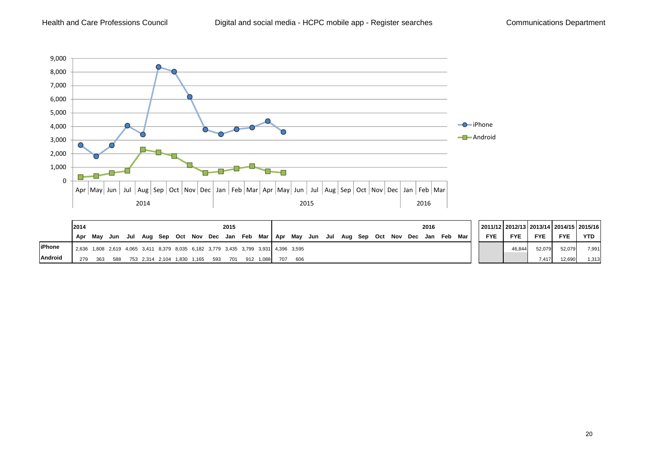

|                | 2014<br>2015 |     |                                                                                     |  |  |  |  |  |  |                                               |  |  |     | 2016                                                                          |  |  |  |  |  |  |  |  |  |     |            |            |            |            | 2011/12   2012/13   2013/14   2014/15   2015/16 |
|----------------|--------------|-----|-------------------------------------------------------------------------------------|--|--|--|--|--|--|-----------------------------------------------|--|--|-----|-------------------------------------------------------------------------------|--|--|--|--|--|--|--|--|--|-----|------------|------------|------------|------------|-------------------------------------------------|
|                | Apr          | Mav | Jun Jul                                                                             |  |  |  |  |  |  |                                               |  |  |     | Aug Sep Oct Nov Dec Jan Feb Mar   Apr May Jun Jul Aug Sep Oct Nov Dec Jan Feb |  |  |  |  |  |  |  |  |  | Mar | <b>FYE</b> | <b>FYE</b> | <b>FYE</b> | <b>FYE</b> | YTD                                             |
| <b>liPhone</b> |              |     | 2,636 1,808 2,619 4,065 3,411 8,379 8,035 6,182 3,779 3,435 3,799 3,931 4,396 3,595 |  |  |  |  |  |  |                                               |  |  |     |                                                                               |  |  |  |  |  |  |  |  |  |     |            | 46.844     | 52.079     | 52,079     | 7,991                                           |
| <b>Android</b> | 279          | 363 | 588                                                                                 |  |  |  |  |  |  | 753 2,314 2,104 1,830 1,165 593 701 912 1,088 |  |  | 707 | 606                                                                           |  |  |  |  |  |  |  |  |  |     |            |            | 7.417      | 12,690     | 1,313                                           |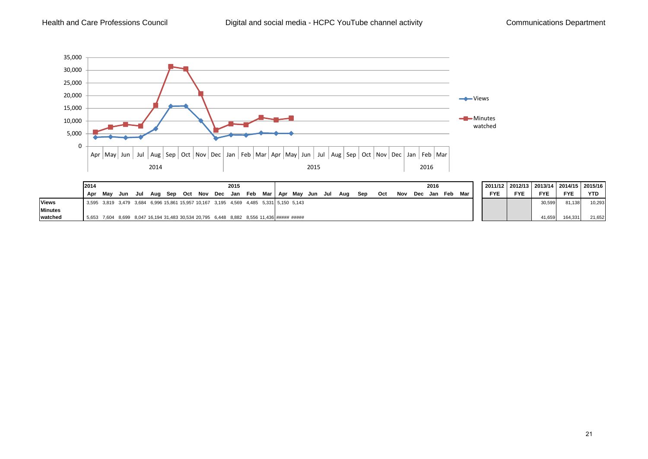

| ×  |   |
|----|---|
| ۰. | ٠ |
|    |   |
|    |   |

2015/16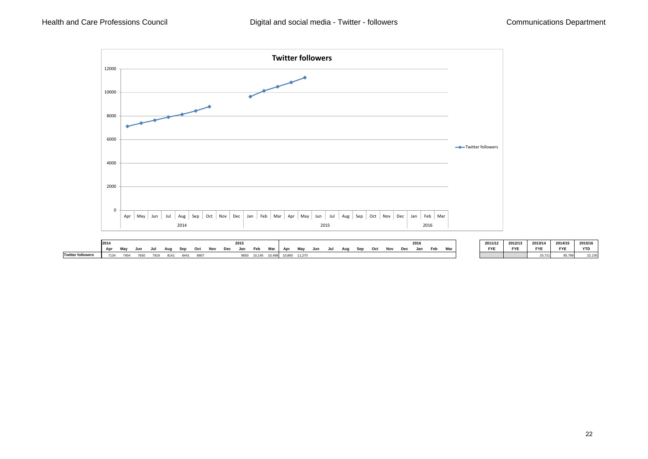

|                   | 2015<br>2014     |      |      |      |      |           |      |     |     |     |        |     | 2016   |        |     |     |     |            |     |     |    |     |  |     | 2011/12 | 2012/13    | 2013/14    | 2014/15              | 2015/16    |            |
|-------------------|------------------|------|------|------|------|-----------|------|-----|-----|-----|--------|-----|--------|--------|-----|-----|-----|------------|-----|-----|----|-----|--|-----|---------|------------|------------|----------------------|------------|------------|
|                   | Ant<br><b>AU</b> | Mav  | Jun  | Jul  |      | <b>Co</b> | Oct  | Nov | Dec | Jan | Feb    | Mar | Apr    | May    | Jun | Jul | Auc | <b>Son</b> | Oct | Nov | n. | Jan |  | Mar |         | <b>FYE</b> | <b>FYE</b> | <b>FYE</b>           | <b>FYE</b> | <b>YTD</b> |
| Twitter follower. |                  | 7404 | 7650 | 7919 | 8141 | 8441      | 8807 |     |     | יים | 10.145 |     | 10,860 | 11.270 |     |     |     |            |     |     |    |     |  |     |         |            |            | $\sim$ $\sim$ $\sim$ | 85,789     | 22.130     |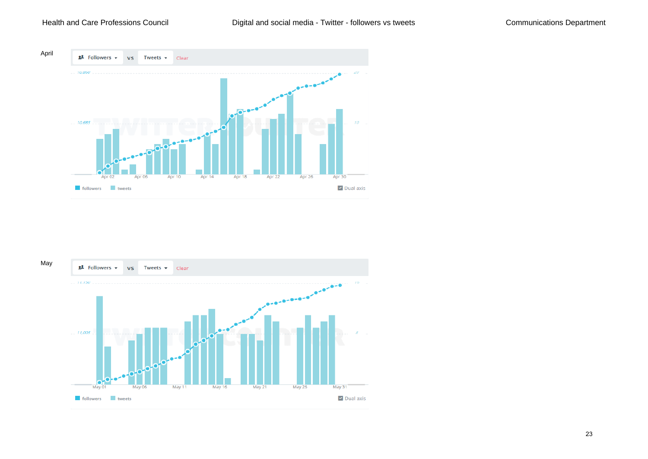